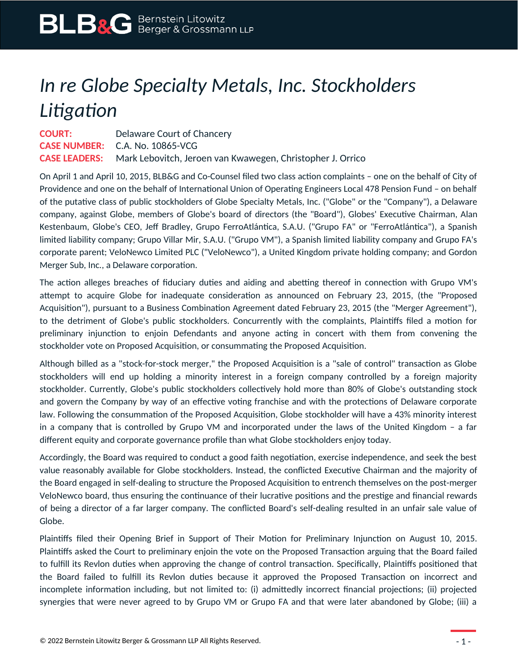## *In re Globe Specialty Metals, Inc. Stockholders Litigation*

| <b>COURT:</b> | Delaware Court of Chancery                                                      |
|---------------|---------------------------------------------------------------------------------|
|               | <b>CASE NUMBER:</b> C.A. No. 10865-VCG                                          |
|               | <b>CASE LEADERS:</b> Mark Lebovitch, Jeroen van Kwawegen, Christopher J. Orrico |

On April 1 and April 10, 2015, BLB&G and Co-Counsel filed two class action complaints – one on the behalf of City of Providence and one on the behalf of International Union of Operating Engineers Local 478 Pension Fund – on behalf of the putative class of public stockholders of Globe Specialty Metals, Inc. ("Globe" or the "Company"), a Delaware company, against Globe, members of Globe's board of directors (the "Board"), Globes' Executive Chairman, Alan Kestenbaum, Globe's CEO, Jeff Bradley, Grupo FerroAtlántica, S.A.U. ("Grupo FA" or "FerroAtlántica"), a Spanish limited liability company; Grupo Villar Mir, S.A.U. ("Grupo VM"), a Spanish limited liability company and Grupo FA's corporate parent; VeloNewco Limited PLC ("VeloNewco"), a United Kingdom private holding company; and Gordon Merger Sub, Inc., a Delaware corporation.

The action alleges breaches of fiduciary duties and aiding and abetting thereof in connection with Grupo VM's attempt to acquire Globe for inadequate consideration as announced on February 23, 2015, (the "Proposed Acquisition"), pursuant to a Business Combination Agreement dated February 23, 2015 (the "Merger Agreement"), to the detriment of Globe's public stockholders. Concurrently with the complaints, Plaintiffs filed a motion for preliminary injunction to enjoin Defendants and anyone acting in concert with them from convening the stockholder vote on Proposed Acquisition, or consummating the Proposed Acquisition.

Although billed as a "stock-for-stock merger," the Proposed Acquisition is a "sale of control" transaction as Globe stockholders will end up holding a minority interest in a foreign company controlled by a foreign majority stockholder. Currently, Globe's public stockholders collectively hold more than 80% of Globe's outstanding stock and govern the Company by way of an effective voting franchise and with the protections of Delaware corporate law. Following the consummation of the Proposed Acquisition, Globe stockholder will have a 43% minority interest in a company that is controlled by Grupo VM and incorporated under the laws of the United Kingdom – a far different equity and corporate governance profile than what Globe stockholders enjoy today.

Accordingly, the Board was required to conduct a good faith negotiation, exercise independence, and seek the best value reasonably available for Globe stockholders. Instead, the conflicted Executive Chairman and the majority of the Board engaged in self-dealing to structure the Proposed Acquisition to entrench themselves on the post-merger VeloNewco board, thus ensuring the continuance of their lucrative positions and the prestige and financial rewards of being a director of a far larger company. The conflicted Board's self-dealing resulted in an unfair sale value of Globe.

Plaintiffs filed their Opening Brief in Support of Their Motion for Preliminary Injunction on August 10, 2015. Plaintiffs asked the Court to preliminary enjoin the vote on the Proposed Transaction arguing that the Board failed to fulfill its Revlon duties when approving the change of control transaction. Specifically, Plaintiffs positioned that the Board failed to fulfill its Revlon duties because it approved the Proposed Transaction on incorrect and incomplete information including, but not limited to: (i) admittedly incorrect financial projections; (ii) projected synergies that were never agreed to by Grupo VM or Grupo FA and that were later abandoned by Globe; (iii) a